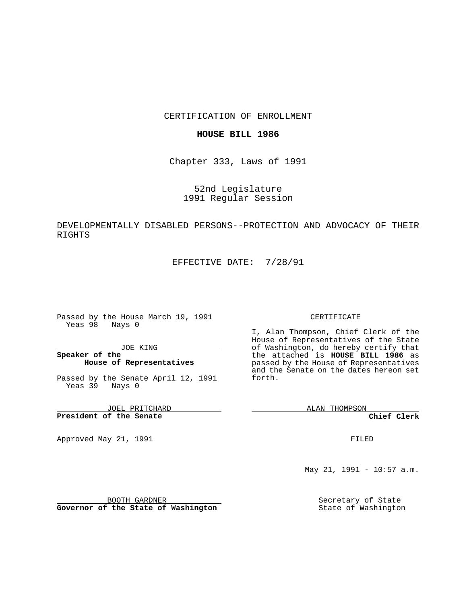## CERTIFICATION OF ENROLLMENT

### **HOUSE BILL 1986**

Chapter 333, Laws of 1991

52nd Legislature 1991 Regular Session

# DEVELOPMENTALLY DISABLED PERSONS--PROTECTION AND ADVOCACY OF THEIR RIGHTS

EFFECTIVE DATE: 7/28/91

Passed by the House March 19, 1991 Yeas 98 Nays 0

JOE KING

## **Speaker of the House of Representatives**

Passed by the Senate April 12, 1991 Yeas 39 Nays 0

JOEL PRITCHARD **President of the Senate**

Approved May 21, 1991

#### CERTIFICATE

I, Alan Thompson, Chief Clerk of the House of Representatives of the State of Washington, do hereby certify that the attached is **HOUSE BILL 1986** as passed by the House of Representatives and the Senate on the dates hereon set forth.

ALAN THOMPSON

**Chief Clerk**

FILED

May 21, 1991 - 10:57 a.m.

Secretary of State State of Washington

BOOTH GARDNER

**Governor of the State of Washington**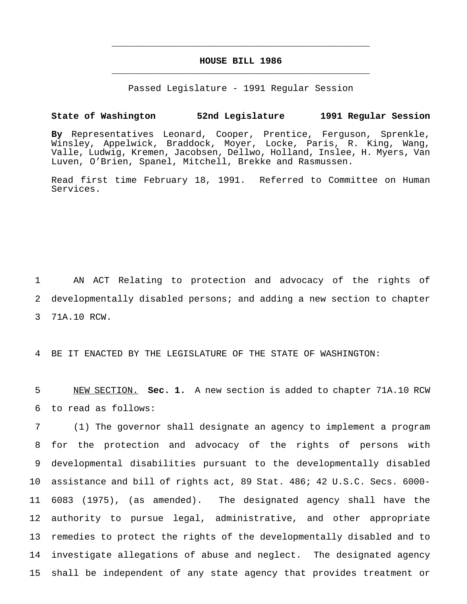## **HOUSE BILL 1986** \_\_\_\_\_\_\_\_\_\_\_\_\_\_\_\_\_\_\_\_\_\_\_\_\_\_\_\_\_\_\_\_\_\_\_\_\_\_\_\_\_\_\_\_\_\_\_

\_\_\_\_\_\_\_\_\_\_\_\_\_\_\_\_\_\_\_\_\_\_\_\_\_\_\_\_\_\_\_\_\_\_\_\_\_\_\_\_\_\_\_\_\_\_\_

Passed Legislature - 1991 Regular Session

#### **State of Washington 52nd Legislature 1991 Regular Session**

**By** Representatives Leonard, Cooper, Prentice, Ferguson, Sprenkle, Winsley, Appelwick, Braddock, Moyer, Locke, Paris, R. King, Wang, Valle, Ludwig, Kremen, Jacobsen, Dellwo, Holland, Inslee, H. Myers, Van Luven, O'Brien, Spanel, Mitchell, Brekke and Rasmussen.

Read first time February 18, 1991. Referred to Committee on Human Services.

1 AN ACT Relating to protection and advocacy of the rights of 2 developmentally disabled persons; and adding a new section to chapter 3 71A.10 RCW.

4 BE IT ENACTED BY THE LEGISLATURE OF THE STATE OF WASHINGTON:

5 NEW SECTION. **Sec. 1.** A new section is added to chapter 71A.10 RCW 6 to read as follows:

 (1) The governor shall designate an agency to implement a program for the protection and advocacy of the rights of persons with developmental disabilities pursuant to the developmentally disabled assistance and bill of rights act, 89 Stat. 486; 42 U.S.C. Secs. 6000- 6083 (1975), (as amended). The designated agency shall have the authority to pursue legal, administrative, and other appropriate remedies to protect the rights of the developmentally disabled and to investigate allegations of abuse and neglect. The designated agency shall be independent of any state agency that provides treatment or